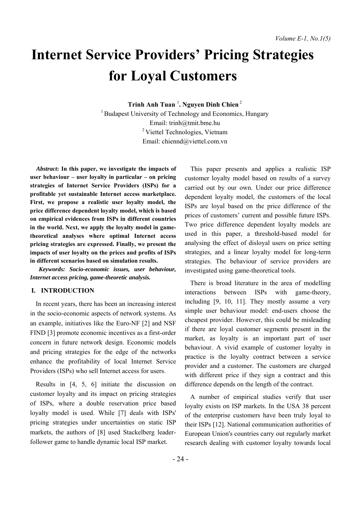# **Internet Service Providers' Pricing Strategies for Loyal Customers**

**Trinh Anh Tuan** <sup>1</sup> **. Nguyen Dinh Chien** <sup>2</sup>

<sup>1</sup> Budapest University of Technology and Economics, Hungary Email: trinh@tmit.bme.hu 2 Viettel Technologies, Vietnam Email: chiennd@viettel.com.vn

*Abstract***: In this paper, we investigate the impacts of user behaviour – user loyalty in particular – on pricing strategies of Internet Service Providers (ISPs) for a profitable yet sustainable Internet access marketplace. First, we propose a realistic user loyalty model, the price difference dependent loyalty model, which is based on empirical evidences from ISPs in different countries in the world. Next, we apply the loyalty model in gametheoretical analyses where optimal Internet access pricing strategies are expressed. Finally, we present the impacts of user loyalty on the prices and profits of ISPs in different scenarios based on simulation results.**

*Keywords: Socio-economic issues, user behaviour, Internet access pricing, game-theoretic analysis.*

## **I. INTRODUCTION**

In recent years, there has been an increasing interest in the socio-economic aspects of network systems. As an example, initiatives like the Euro-NF [2] and NSF FIND [3] promote economic incentives as a first-order concern in future network design. Economic models and pricing strategies for the edge of the networks enhance the profitability of local Internet Service Providers (ISPs) who sell Internet access for users.

Results in [4, 5, 6] initiate the discussion on customer loyalty and its impact on pricing strategies of ISPs, where a double reservation price based loyalty model is used. While [7] deals with ISPs' pricing strategies under uncertainties on static ISP markets, the authors of [8] used Stackelberg leaderfollower game to handle dynamic local ISP market.

This paper presents and applies a realistic ISP customer loyalty model based on results of a survey carried out by our own. Under our price difference dependent loyalty model, the customers of the local ISPs are loyal based on the price difference of the prices of customers' current and possible future ISPs. Two price difference dependent loyalty models are used in this paper, a threshold-based model for analysing the effect of disloyal users on price setting strategies, and a linear loyalty model for long-term strategies. The behaviour of service providers are investigated using game-theoretical tools.

There is broad literature in the area of modelling interactions between ISPs with game-theory, including [9, 10, 11]. They mostly assume a very simple user behaviour model: end-users choose the cheapest provider. However, this could be misleading if there are loyal customer segments present in the market, as loyalty is an important part of user behaviour. A vivid example of customer loyalty in practice is the loyalty contract between a service provider and a customer. The customers are charged with different price if they sign a contract and this difference depends on the length of the contract.

A number of empirical studies verify that user loyalty exists on ISP markets. In the USA 38 percent of the enterprise customers have been truly loyal to their ISPs [12]. National communication authorities of European Union's countries carry out regularly market research dealing with customer loyalty towards local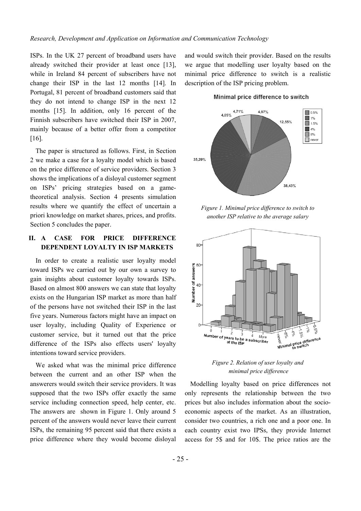ISPs. In the UK 27 percent of broadband users have already switched their provider at least once [13], while in Ireland 84 percent of subscribers have not change their ISP in the last 12 months [14]. In Portugal, 81 percent of broadband customers said that they do not intend to change ISP in the next 12 months [15]. In addition, only 16 percent of the Finnish subscribers have switched their ISP in 2007, mainly because of a better offer from a competitor [16].

 The paper is structured as follows. First, in Section 2 we make a case for a loyalty model which is based on the price difference of service providers. Section 3 shows the implications of a disloyal customer segment on ISPs' pricing strategies based on a gametheoretical analysis. Section 4 presents simulation results where we quantify the effect of uncertain a priori knowledge on market shares, prices, and profits. Section 5 concludes the paper.

# **II. A CASE FOR PRICE DIFFERENCE DEPENDENT LOYALTY IN ISP MARKETS**

In order to create a realistic user loyalty model toward ISPs we carried out by our own a survey to gain insights about customer loyalty towards ISPs. Based on almost 800 answers we can state that loyalty exists on the Hungarian ISP market as more than half of the persons have not switched their ISP in the last five years. Numerous factors might have an impact on user loyalty, including Quality of Experience or customer service, but it turned out that the price difference of the ISPs also effects users' loyalty intentions toward service providers.

We asked what was the minimal price difference between the current and an other ISP when the answerers would switch their service providers. It was supposed that the two ISPs offer exactly the same service including connection speed, help center, etc. The answers are shown in Figure 1. Only around 5 percent of the answers would never leave their current ISPs, the remaining 95 percent said that there exists a price difference where they would become disloyal and would switch their provider. Based on the results we argue that modelling user loyalty based on the minimal price difference to switch is a realistic description of the ISP pricing problem.

#### Minimal price difference to switch



*Figure 1. Minimal price difference to switch to another ISP relative to the average salary* 



*Figure 2. Relation of user loyalty and minimal price difference* 

Modelling loyalty based on price differences not only represents the relationship between the two prices but also includes information about the socioeconomic aspects of the market. As an illustration, consider two countries, a rich one and a poor one. In each country exist two IPSs, they provide Internet access for 5\$ and for 10\$. The price ratios are the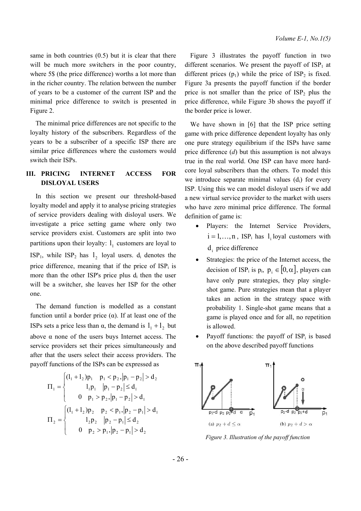<span id="page-2-0"></span>same in both countries  $(0.5)$  but it is clear that there will be much more switchers in the poor country, where 5\$ (the price difference) worths a lot more than in the richer country. The relation between the number of years to be a customer of the current ISP and the minimal price difference to switch is presented in Figure 2.

The minimal price differences are not specific to the loyalty history of the subscribers. Regardless of the years to be a subscriber of a specific ISP there are similar price differences where the customers would switch their ISPs.

## **III. PRICING INTERNET ACCESS FOR DISLOYAL USERS**

In this section we present our threshold-based loyalty model and apply it to analyse pricing strategies of service providers dealing with disloyal users. We investigate a price setting game where only two service providers exist. Customers are split into two partitions upon their loyalty:  $l_1$  customers are loyal to  $ISP_1$ , while  $ISP_2$  has  $l_2$  loyal users.  $d_i$  denotes the price difference, meaning that if the price of  $ISP_i$  is more than the other ISP's price plus  $d_i$  then the user will be a switcher, she leaves her ISP for the other one.

The demand function is modelled as a constant function until a border price (α). If at least one of the ISPs sets a price less than α, the demand is  $l_1 + l_2$  but above α none of the users buys Internet access. The service providers set their prices simultaneously and after that the users select their access providers. The payoff functions of the ISPs can be expressed as

$$
\Pi_{1} = \begin{cases}\n(I_{1} + I_{2})p_{1} & p_{1} < p_{2}, |p_{1} - p_{2}| > d_{2} \\
I_{1}p_{1} & p_{1} - p_{2}| \le d_{1} \\
0 & p_{1} > p_{2}, |p_{1} - p_{2}| > d_{1}\n\end{cases}
$$
\n
$$
\Pi_{2} = \begin{cases}\n(I_{1} + I_{2})p_{2} & p_{2} < p_{1}, |p_{2} - p_{1}| > d_{1} \\
I_{2}p_{2} & p_{2} - p_{1}| \le d_{2} \\
0 & p_{2} > p_{1}, |p_{2} - p_{1}| > d_{2}\n\end{cases}
$$

[Figure 3](#page-2-0) illustrates the payoff function in two different scenarios. We present the payoff of  $ISP_1$  at different prices  $(p_1)$  while the price of  $ISP_2$  is fixed. [Figure 3a](#page-2-0) presents the payoff function if the border price is not smaller than the price of  $ISP_2$  plus the price difference, while [Figure 3](#page-2-0)b shows the payoff if the border price is lower.

We have shown in [6] that the ISP price setting game with price difference dependent loyalty has only one pure strategy equilibrium if the ISPs have same price difference (*d*) but this assumption is not always true in the real world. One ISP can have more hardcore loyal subscribers than the others. To model this we introduce separate minimal values  $(d_i)$  for every ISP. Using this we can model disloyal users if we add a new virtual service provider to the market with users who have zero minimal price difference. The formal definition of game is:

- Players: the Internet Service Providers,  $i = 1, \ldots, n$ , ISP<sub>i</sub> has 1 loyal customers with  $d_i$  price difference
- Strategies: the price of the Internet access, the decision of ISP<sub>i</sub> is  $p_i$ ,  $p_i \in [0, \alpha]$ , players can have only pure strategies, they play singleshot game. Pure strategies mean that a player takes an action in the strategy space with probability 1. Single-shot game means that a game is played once and for all, no repetition is allowed.
- Payoff functions: the payoff of  $ISP_i$  is based on the above described payoff functions



*Figure 3. Illustration of the payoff function*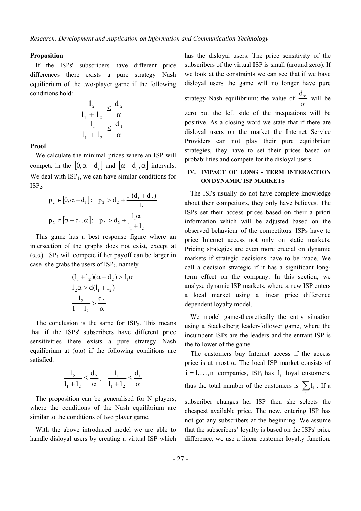#### **Proposition**

If the ISPs' subscribers have different price differences there exists a pure strategy Nash equilibrium of the two-player game if the following conditions hold:

$$
\frac{1_2}{1_1 + 1_2} \le \frac{d_2}{\alpha}
$$

$$
\frac{1_1}{1_1 + 1_2} \le \frac{d_1}{\alpha}
$$

#### **Proof**

We calculate the minimal prices where an ISP will compete in the  $[0, \alpha - d_i]$  and  $[\alpha - d_i, \alpha]$  intervals. We deal with  $ISP_1$ , we can have similar conditions for  $ISP_2$ :

$$
p_2 \in [0, \alpha - d_1]: \quad p_2 > d_2 + \frac{l_1(d_1 + d_2)}{l_2}
$$

$$
p_2 \in [\alpha - d_1, \alpha]: \quad p_2 > d_2 + \frac{l_1 \alpha}{l_1 + l_2}
$$

This game has a best response figure where an intersection of the graphs does not exist, except at ( $\alpha, \alpha$ ). ISP<sub>1</sub> will compete if her payoff can be larger in case she grabs the users of  $ISP_2$ , namely

$$
(l_1 + l_2)(\alpha - d_2) > l_1 \alpha
$$
  
\n
$$
l_2 \alpha > d(l_1 + l_2)
$$
  
\n
$$
\frac{l_2}{l_1 + l_2} > \frac{d_2}{\alpha}
$$

The conclusion is the same for  $ISP_2$ . This means that if the ISPs' subscribers have different price sensitivities there exists a pure strategy Nash equilibrium at  $(\alpha, \alpha)$  if the following conditions are satisfied:

$$
\frac{l_2}{l_1 + l_2} \le \frac{d_2}{\alpha}, \quad \frac{l_1}{l_1 + l_2} \le \frac{d_1}{\alpha}
$$

The proposition can be generalised for N players, where the conditions of the Nash equilibrium are similar to the conditions of two player game.

 With the above introduced model we are able to handle disloyal users by creating a virtual ISP which

has the disloyal users. The price sensitivity of the subscribers of the virtual ISP is small (around zero). If we look at the constraints we can see that if we have disloyal users the game will no longer have pure strategy Nash equilibrium: the value of α  $\frac{d_v}{dx}$  will be zero but the left side of the inequations will be positive. As a closing word we state that if there are disloyal users on the market the Internet Service Providers can not play their pure equilibrium strategies, they have to set their prices based on probabilities and compete for the disloyal users.

## **IV. IMPACT OF LONG - TERM INTERACTION ON DYNAMIC ISP MARKETS**

The ISPs usually do not have complete knowledge about their competitors, they only have believes. The ISPs set their access prices based on their a priori information which will be adjusted based on the observed behaviour of the competitors. ISPs have to price Internet access not only on static markets. Pricing strategies are even more crucial on dynamic markets if strategic decisions have to be made. We call a decision strategic if it has a significant longterm effect on the company. In this section, we analyse dynamic ISP markets, where a new ISP enters a local market using a linear price difference dependent loyalty model.

We model game-theoretically the entry situation using a Stackelberg leader-follower game, where the incumbent ISPs are the leaders and the entrant ISP is the follower of the game.

The customers buy Internet access if the access price is at most  $\alpha$ . The local ISP market consists of  $i = 1, \ldots, n$  companies, ISP<sub>i</sub> has  $l_i$  loyal customers, thus the total number of the customers is  $\sum l_i$ . If a

i

subscriber changes her ISP then she selects the cheapest available price. The new, entering ISP has not got any subscribers at the beginning. We assume that the subscribers' loyalty is based on the ISPs' price difference, we use a linear customer loyalty function,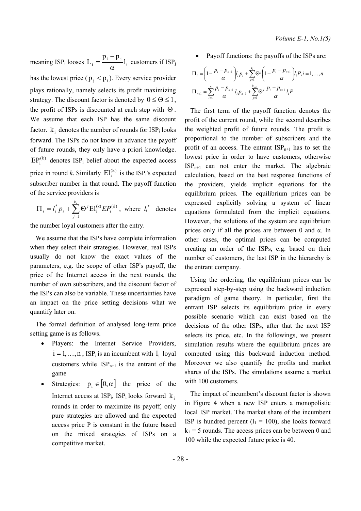meaning ISP<sub>i</sub> looses  $L_i = \frac{p_i - p_j}{\alpha} l_i$  $=\frac{p_i-p_j}{l_i}$  customers if ISP<sub>j</sub> has the lowest price ( $p_i < p_i$ ). Every service provider plays rationally, namely selects its profit maximizing strategy. The discount factor is denoted by  $0 \le \Theta \le 1$ , the profit of ISPs is discounted at each step with  $\Theta$ . We assume that each ISP has the same discount factor.  $k_i$  denotes the number of rounds for  $ISP_i$  looks forward. The ISPs do not know in advance the payoff of future rounds, they only have a priori knowledge.  $EP_i^{(k)}$  denotes ISP<sub>i</sub> belief about the expected access price in round *k*. Similarly  $\text{EI}^{(k)}$  is the ISP<sub>i</sub>'s expected subscriber number in that round. The payoff function of the service providers is

$$
\Pi_i = l_i^* p_i + \sum_{j=1}^{k_i} \Theta^j E l_i^{(k)} E P_i^{(k)}
$$
, where  $l_i^*$  denotes

the number loyal customers after the entry.

We assume that the ISPs have complete information when they select their strategies. However, real ISPs usually do not know the exact values of the parameters, e.g. the scope of other ISP's payoff, the price of the Internet access in the next rounds, the number of own subscribers, and the discount factor of the ISPs can also be variable. These uncertainties have an impact on the price setting decisions what we quantify later on.

The formal definition of analysed long-term price setting game is as follows.

- Players: the Internet Service Providers,  $i = 1, \ldots, n$ , ISP<sub>i</sub> is an incumbent with  $l_i$  loyal customers while  $ISP_{n+1}$  is the entrant of the game
- Strategies:  $p_i \in [0, \alpha]$  the price of the Internet access at  $ISP_i$ , ISP<sub>i</sub> looks forward  $k_i$ rounds in order to maximize its payoff, only pure strategies are allowed and the expected access price P is constant in the future based on the mixed strategies of ISPs on a competitive market.

Payoff functions: the payoffs of the ISPs are:

$$
\Pi_{i} = \left(1 - \frac{p_{i} - p_{n+1}}{\alpha}\right) l_{i} p_{i} + \sum_{j=1}^{k_{i}} \Theta^{j} \left(1 - \frac{p_{i} - p_{n+1}}{\alpha}\right) l_{i} P, i = 1, ..., n
$$
\n
$$
\Pi_{n+1} = \sum_{i=1}^{n} \frac{p_{i} - p_{n+1}}{\alpha} l_{i} p_{n+1} + \sum_{j=1}^{k_{n+1}} \Theta^{j} \frac{p_{i} - p_{n+1}}{\alpha} l_{i} P
$$

The first term of the payoff function denotes the profit of the current round, while the second describes the weighted profit of future rounds. The profit is proportional to the number of subscribers and the profit of an access. The entrant  $ISP_{n+1}$  has to set the lowest price in order to have customers, otherwise  $ISP_{n+1}$  can not enter the market. The algebraic calculation, based on the best response functions of the providers, yields implicit equations for the equilibrium prices. The equilibrium prices can be expressed explicitly solving a system of linear equations formulated from the implicit equations. However, the solutions of the system are equilibrium prices only if all the prices are between 0 and  $\alpha$ . In other cases, the optimal prices can be computed creating an order of the ISPs, e.g. based on their number of customers, the last ISP in the hierarchy is the entrant company.

Using the ordering, the equilibrium prices can be expressed step-by-step using the backward induction paradigm of game theory. In particular, first the entrant ISP selects its equilibrium price in every possible scenario which can exist based on the decisions of the other ISPs, after that the next ISP selects its price, etc. In the followings, we present simulation results where the equilibrium prices are computed using this backward induction method. Moreover we also quantify the profits and market shares of the ISPs. The simulations assume a market with 100 customers.

The impact of incumbent's discount factor is shown in [Figure 4](#page-5-0) when a new ISP enters a monopolistic local ISP market. The market share of the incumbent ISP is hundred percent  $(l_1 = 100)$ , she looks forward  $k_1$  = 5 rounds. The access prices can be between 0 and 100 while the expected future price is 40.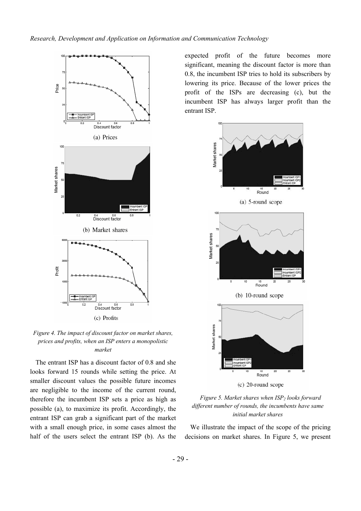<span id="page-5-0"></span>

*Figure 4. The impact of discount factor on market shares, prices and profits, when an ISP enters a monopolistic market* 

The entrant ISP has a discount factor of 0.8 and she looks forward 15 rounds while setting the price. At smaller discount values the possible future incomes are negligible to the income of the current round, therefore the incumbent ISP sets a price as high as possible (a), to maximize its profit. Accordingly, the entrant ISP can grab a significant part of the market with a small enough price, in some cases almost the half of the users select the entrant ISP (b). As the expected profit of the future becomes more significant, meaning the discount factor is more than 0.8, the incumbent ISP tries to hold its subscribers by lowering its price. Because of the lower prices the profit of the ISPs are decreasing (c), but the incumbent ISP has always larger profit than the entrant ISP.





We illustrate the impact of the scope of the pricing decisions on market shares. In [Figure 5,](#page-5-0) we present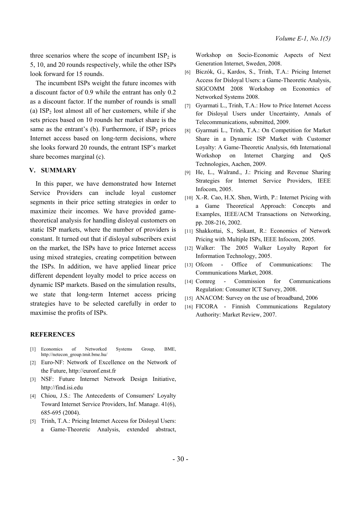three scenarios where the scope of incumbent  $ISP_2$  is 5, 10, and 20 rounds respectively, while the other ISPs look forward for 15 rounds.

The incumbent ISPs weight the future incomes with a discount factor of 0.9 while the entrant has only 0.2 as a discount factor. If the number of rounds is small (a)  $ISP_2$  lost almost all of her customers, while if she sets prices based on 10 rounds her market share is the same as the entrant's (b). Furthermore, if  $ISP_2$  prices Internet access based on long-term decisions, where she looks forward 20 rounds, the entrant ISP's market share becomes marginal (c).

### **V. SUMMARY**

 In this paper, we have demonstrated how Internet Service Providers can include loyal customer segments in their price setting strategies in order to maximize their incomes. We have provided gametheoretical analysis for handling disloyal customers on static ISP markets, where the number of providers is constant. It turned out that if disloyal subscribers exist on the market, the ISPs have to price Internet access using mixed strategies, creating competition between the ISPs. In addition, we have applied linear price different dependent loyalty model to price access on dynamic ISP markets. Based on the simulation results, we state that long-term Internet access pricing strategies have to be selected carefully in order to maximise the profits of ISPs.

Workshop on Socio-Economic Aspects of Next Generation Internet, Sweden, 2008.

- [6] Biczók, G., Kardos, S., Trinh, T.A.: Pricing Internet Access for Disloyal Users: a Game-Theoretic Analysis, SIGCOMM 2008 Workshop on Economics of Networked Systems 2008.
- [7] Gyarmati L., Trinh, T.A.: How to Price Internet Access for Disloyal Users under Uncertainty, Annals of Telecommunications, submitted, 2009.
- [8] Gyarmati L., Trinh, T.A.: On Competition for Market Share in a Dynamic ISP Market with Customer Loyalty: A Game-Theoretic Analysis, 6th International Workshop on Internet Charging and QoS Technologies, Aachen, 2009.
- [9] He, L., Walrand., J.: Pricing and Revenue Sharing Strategies for Internet Service Providers, IEEE Infocom, 2005.
- [10] X.-R. Cao, H.X. Shen, Wirth, P.: Internet Pricing with a Game Theoretical Approach: Concepts and Examples, IEEE/ACM Transactions on Networking, pp. 208-216, 2002.
- [11] Shakkottai, S., Srikant, R.: Economics of Network Pricing with Multiple ISPs, IEEE Infocom, 2005.
- [12] Walker: The 2005 Walker Loyalty Report for Information Technology, 2005.
- [13] Ofcom Office of Communications: The Communications Market, 2008.
- [14] Comreg Commission for Communications Regulation: Consumer ICT Survey, 2008.
- [15] ANACOM: Survey on the use of broadband, 2006
- [16] FICORA Finnish Communications Regulatory Authority: Market Review, 2007.

## **REFERENCES**

- [1] Economics of Networked Systems Group, BME, http://netecon\_group.tmit.bme.hu/
- [2] Euro-NF: Network of Excellence on the Network of the Future, http://euronf.enst.fr
- [3] NSF: Future Internet Network Design Initiative, http://find.isi.edu
- [4] Chiou, J.S.: The Antecedents of Consumers' Loyalty Toward Internet Service Providers, Inf. Manage. 41(6), 685-695 (2004).
- [5] Trinh, T.A.: Pricing Internet Access for Disloyal Users: a Game-Theoretic Analysis, extended abstract,